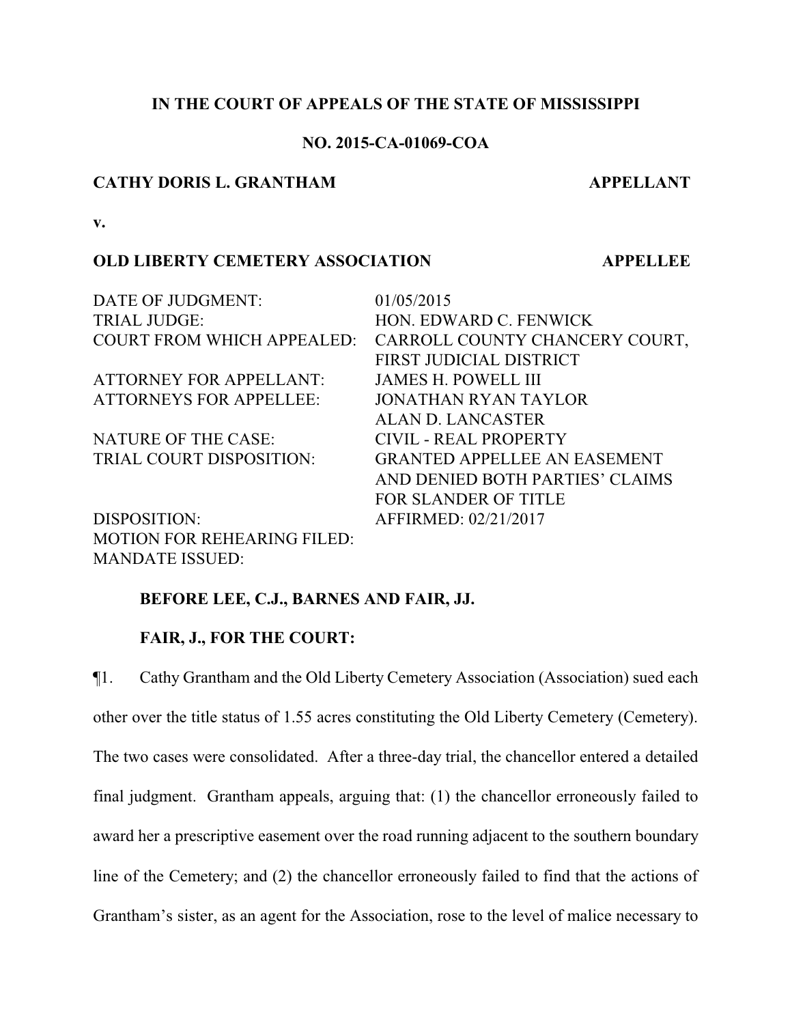# **IN THE COURT OF APPEALS OF THE STATE OF MISSISSIPPI**

# **NO. 2015-CA-01069-COA**

#### **CATHY DORIS L. GRANTHAM APPELLANT**

**v.**

## **OLD LIBERTY CEMETERY ASSOCIATION APPELLEE**

| DATE OF JUDGMENT:                  | 01/05/2015                          |
|------------------------------------|-------------------------------------|
| <b>TRIAL JUDGE:</b>                | HON. EDWARD C. FENWICK              |
| <b>COURT FROM WHICH APPEALED:</b>  | CARROLL COUNTY CHANCERY COURT,      |
|                                    | FIRST JUDICIAL DISTRICT             |
| <b>ATTORNEY FOR APPELLANT:</b>     | <b>JAMES H. POWELL III</b>          |
| <b>ATTORNEYS FOR APPELLEE:</b>     | <b>JONATHAN RYAN TAYLOR</b>         |
|                                    | ALAN D. LANCASTER                   |
| <b>NATURE OF THE CASE:</b>         | CIVIL - REAL PROPERTY               |
| TRIAL COURT DISPOSITION:           | <b>GRANTED APPELLEE AN EASEMENT</b> |
|                                    | AND DENIED BOTH PARTIES' CLAIMS     |
|                                    | <b>FOR SLANDER OF TITLE</b>         |
| DISPOSITION:                       | AFFIRMED: 02/21/2017                |
| <b>MOTION FOR REHEARING FILED:</b> |                                     |
| <b>MANDATE ISSUED:</b>             |                                     |

# **BEFORE LEE, C.J., BARNES AND FAIR, JJ.**

# **FAIR, J., FOR THE COURT:**

¶1. Cathy Grantham and the Old Liberty Cemetery Association (Association) sued each other over the title status of 1.55 acres constituting the Old Liberty Cemetery (Cemetery). The two cases were consolidated. After a three-day trial, the chancellor entered a detailed final judgment. Grantham appeals, arguing that: (1) the chancellor erroneously failed to award her a prescriptive easement over the road running adjacent to the southern boundary line of the Cemetery; and (2) the chancellor erroneously failed to find that the actions of Grantham's sister, as an agent for the Association, rose to the level of malice necessary to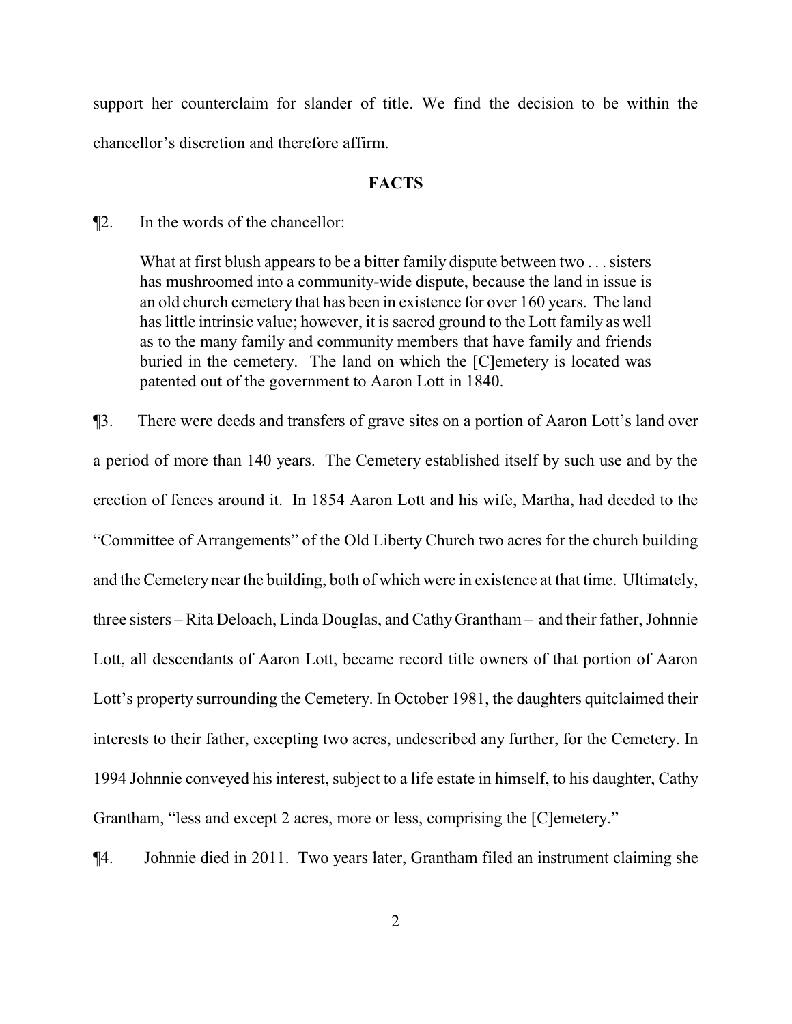support her counterclaim for slander of title. We find the decision to be within the chancellor's discretion and therefore affirm.

#### **FACTS**

¶2. In the words of the chancellor:

What at first blush appears to be a bitter family dispute between two . . . sisters has mushroomed into a community-wide dispute, because the land in issue is an old church cemetery that has been in existence for over 160 years. The land has little intrinsic value; however, it is sacred ground to the Lott family as well as to the many family and community members that have family and friends buried in the cemetery. The land on which the [C]emetery is located was patented out of the government to Aaron Lott in 1840.

¶3. There were deeds and transfers of grave sites on a portion of Aaron Lott's land over a period of more than 140 years. The Cemetery established itself by such use and by the erection of fences around it. In 1854 Aaron Lott and his wife, Martha, had deeded to the "Committee of Arrangements" of the Old Liberty Church two acres for the church building and the Cemetery near the building, both of which were in existence at that time. Ultimately, three sisters – Rita Deloach, Linda Douglas, and Cathy Grantham – and their father, Johnnie Lott, all descendants of Aaron Lott, became record title owners of that portion of Aaron Lott's property surrounding the Cemetery. In October 1981, the daughters quitclaimed their interests to their father, excepting two acres, undescribed any further, for the Cemetery. In 1994 Johnnie conveyed his interest, subject to a life estate in himself, to his daughter, Cathy Grantham, "less and except 2 acres, more or less, comprising the [C]emetery."

¶4. Johnnie died in 2011. Two years later, Grantham filed an instrument claiming she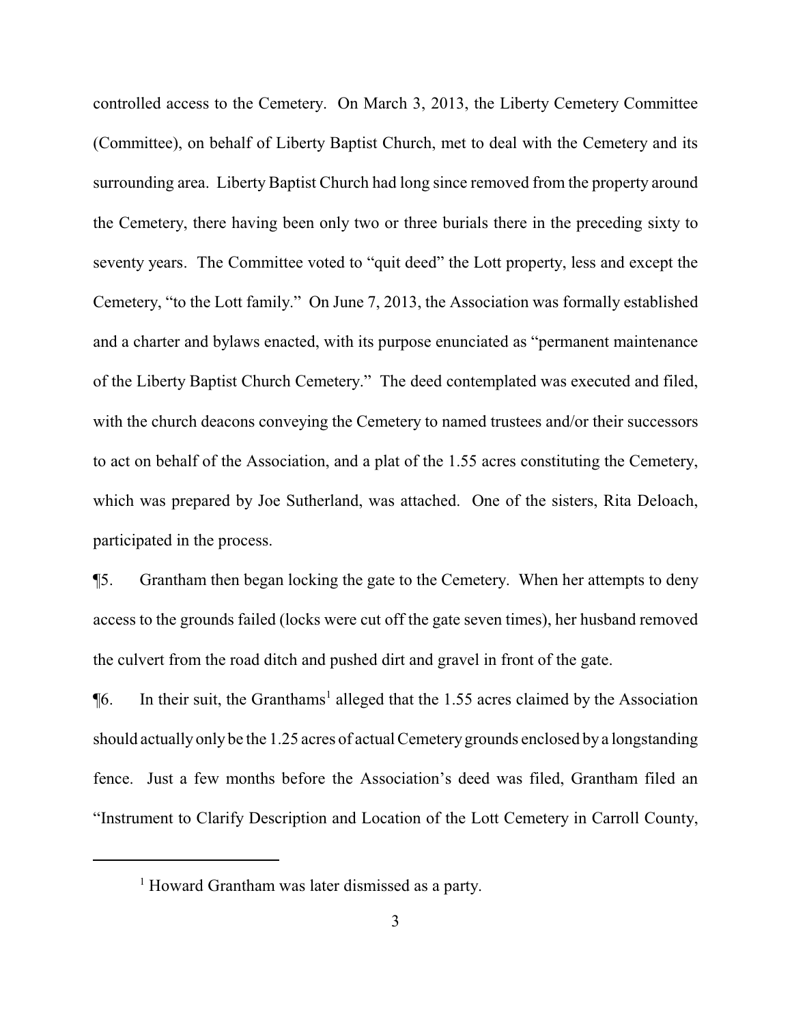controlled access to the Cemetery. On March 3, 2013, the Liberty Cemetery Committee (Committee), on behalf of Liberty Baptist Church, met to deal with the Cemetery and its surrounding area. Liberty Baptist Church had long since removed from the property around the Cemetery, there having been only two or three burials there in the preceding sixty to seventy years. The Committee voted to "quit deed" the Lott property, less and except the Cemetery, "to the Lott family." On June 7, 2013, the Association was formally established and a charter and bylaws enacted, with its purpose enunciated as "permanent maintenance of the Liberty Baptist Church Cemetery." The deed contemplated was executed and filed, with the church deacons conveying the Cemetery to named trustees and/or their successors to act on behalf of the Association, and a plat of the 1.55 acres constituting the Cemetery, which was prepared by Joe Sutherland, was attached. One of the sisters, Rita Deloach, participated in the process.

¶5. Grantham then began locking the gate to the Cemetery. When her attempts to deny access to the grounds failed (locks were cut off the gate seven times), her husband removed the culvert from the road ditch and pushed dirt and gravel in front of the gate.

 $\P6$ . In their suit, the Granthams<sup>1</sup> alleged that the 1.55 acres claimed by the Association should actually only be the 1.25 acres of actual Cemetery grounds enclosed by a longstanding fence. Just a few months before the Association's deed was filed, Grantham filed an "Instrument to Clarify Description and Location of the Lott Cemetery in Carroll County,

<sup>&</sup>lt;sup>1</sup> Howard Grantham was later dismissed as a party.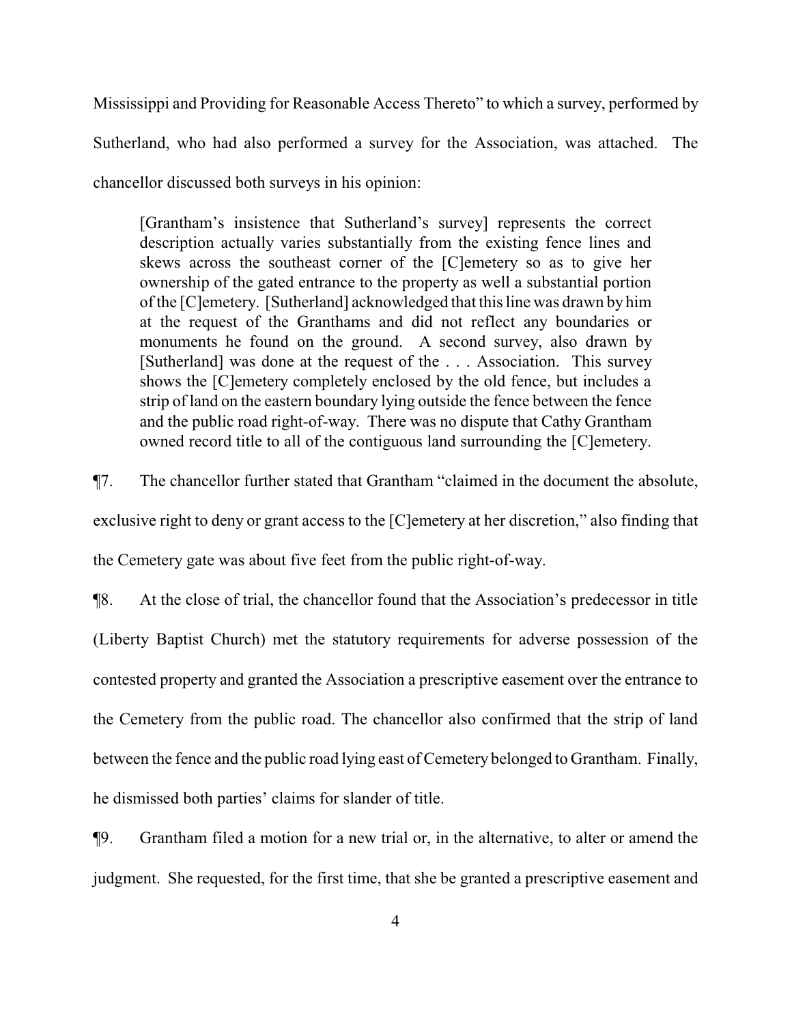Mississippi and Providing for Reasonable Access Thereto" to which a survey, performed by Sutherland, who had also performed a survey for the Association, was attached. The chancellor discussed both surveys in his opinion:

[Grantham's insistence that Sutherland's survey] represents the correct description actually varies substantially from the existing fence lines and skews across the southeast corner of the [C]emetery so as to give her ownership of the gated entrance to the property as well a substantial portion of the [C]emetery. [Sutherland] acknowledged that this line was drawn by him at the request of the Granthams and did not reflect any boundaries or monuments he found on the ground. A second survey, also drawn by [Sutherland] was done at the request of the . . . Association. This survey shows the [C]emetery completely enclosed by the old fence, but includes a strip of land on the eastern boundary lying outside the fence between the fence and the public road right-of-way. There was no dispute that Cathy Grantham owned record title to all of the contiguous land surrounding the [C]emetery.

¶7. The chancellor further stated that Grantham "claimed in the document the absolute, exclusive right to deny or grant access to the [C]emetery at her discretion," also finding that the Cemetery gate was about five feet from the public right-of-way.

¶8. At the close of trial, the chancellor found that the Association's predecessor in title (Liberty Baptist Church) met the statutory requirements for adverse possession of the contested property and granted the Association a prescriptive easement over the entrance to the Cemetery from the public road. The chancellor also confirmed that the strip of land between the fence and the public road lying east of Cemetery belonged to Grantham. Finally, he dismissed both parties' claims for slander of title.

¶9. Grantham filed a motion for a new trial or, in the alternative, to alter or amend the judgment. She requested, for the first time, that she be granted a prescriptive easement and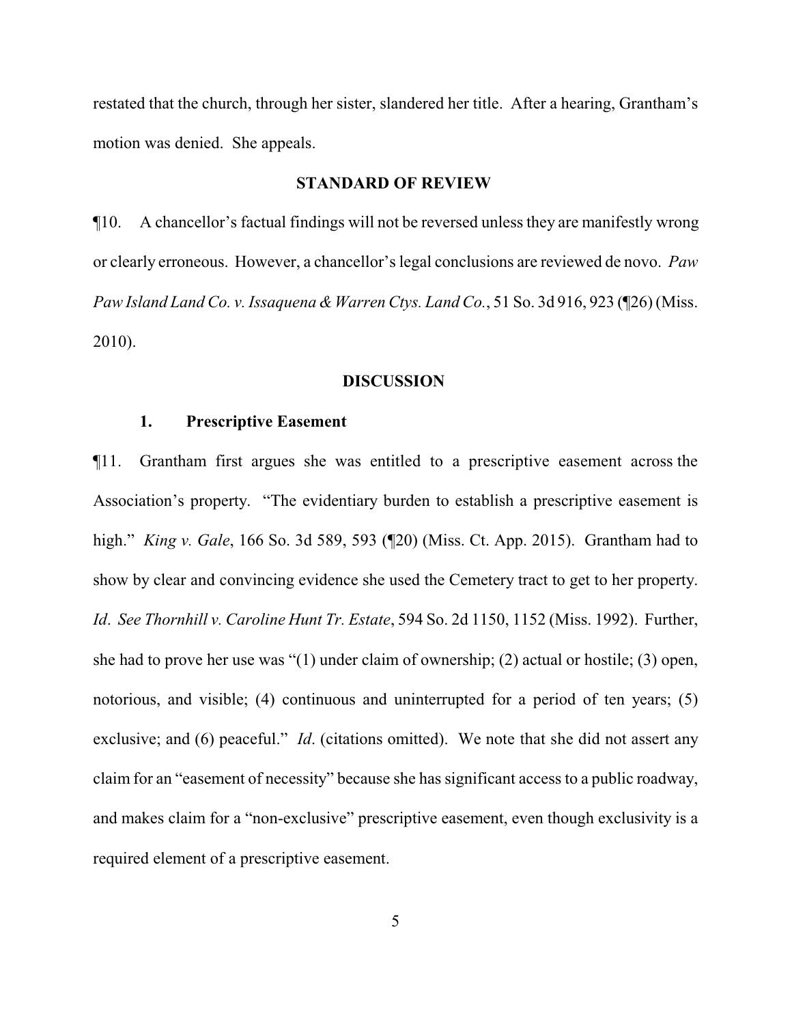restated that the church, through her sister, slandered her title. After a hearing, Grantham's motion was denied. She appeals.

#### **STANDARD OF REVIEW**

¶10. A chancellor's factual findings will not be reversed unless they are manifestly wrong or clearly erroneous. However, a chancellor's legal conclusions are reviewed de novo. *Paw Paw Island Land Co. v. Issaquena & Warren Ctys. Land Co.*, 51 So. 3d 916, 923 (¶26) (Miss. 2010).

### **DISCUSSION**

#### **1. Prescriptive Easement**

¶11. Grantham first argues she was entitled to a prescriptive easement across the Association's property. "The evidentiary burden to establish a prescriptive easement is high." *King v. Gale*, 166 So. 3d 589, 593 (¶20) (Miss. Ct. App. 2015). Grantham had to show by clear and convincing evidence she used the Cemetery tract to get to her property. *Id*. *See Thornhill v. Caroline Hunt Tr. Estate*, 594 So. 2d 1150, 1152 (Miss. 1992). Further, she had to prove her use was "(1) under claim of ownership; (2) actual or hostile; (3) open, notorious, and visible; (4) continuous and uninterrupted for a period of ten years; (5) exclusive; and (6) peaceful." *Id.* (citations omitted). We note that she did not assert any claim for an "easement of necessity" because she has significant access to a public roadway, and makes claim for a "non-exclusive" prescriptive easement, even though exclusivity is a required element of a prescriptive easement.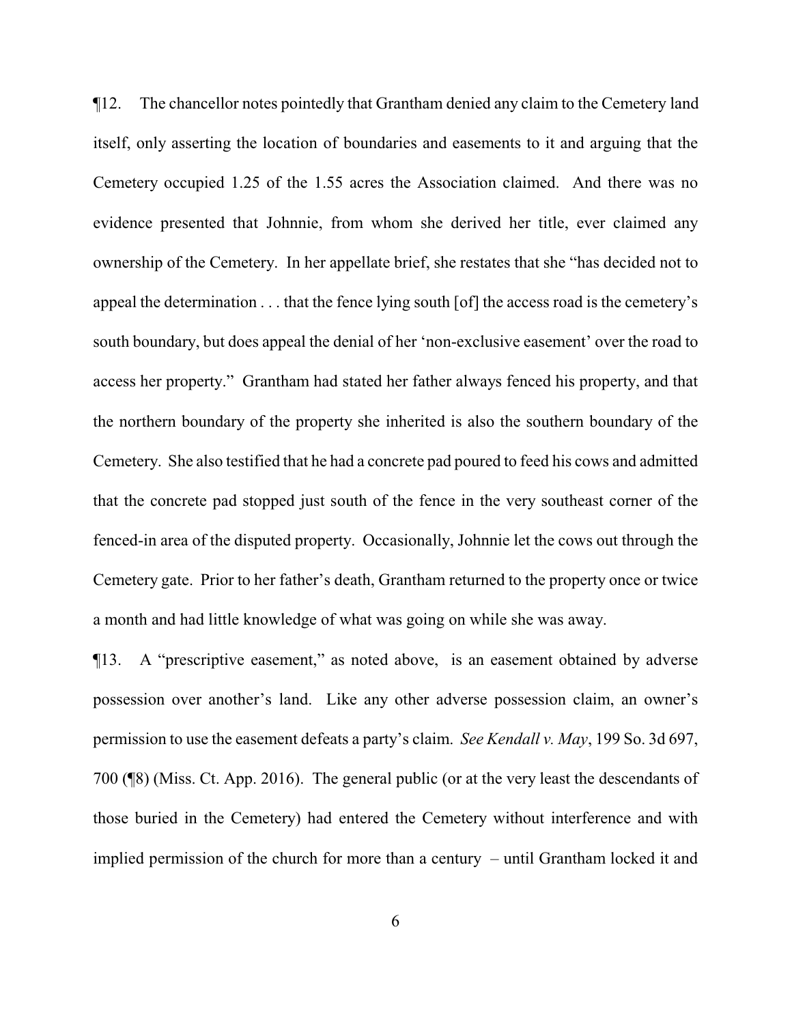¶12. The chancellor notes pointedly that Grantham denied any claim to the Cemetery land itself, only asserting the location of boundaries and easements to it and arguing that the Cemetery occupied 1.25 of the 1.55 acres the Association claimed. And there was no evidence presented that Johnnie, from whom she derived her title, ever claimed any ownership of the Cemetery. In her appellate brief, she restates that she "has decided not to appeal the determination . . . that the fence lying south [of] the access road is the cemetery's south boundary, but does appeal the denial of her 'non-exclusive easement' over the road to access her property." Grantham had stated her father always fenced his property, and that the northern boundary of the property she inherited is also the southern boundary of the Cemetery. She also testified that he had a concrete pad poured to feed his cows and admitted that the concrete pad stopped just south of the fence in the very southeast corner of the fenced-in area of the disputed property. Occasionally, Johnnie let the cows out through the Cemetery gate. Prior to her father's death, Grantham returned to the property once or twice a month and had little knowledge of what was going on while she was away.

¶13. A "prescriptive easement," as noted above, is an easement obtained by adverse possession over another's land. Like any other adverse possession claim, an owner's permission to use the easement defeats a party's claim. *See Kendall v. May*, 199 So. 3d 697, 700 (¶8) (Miss. Ct. App. 2016). The general public (or at the very least the descendants of those buried in the Cemetery) had entered the Cemetery without interference and with implied permission of the church for more than a century – until Grantham locked it and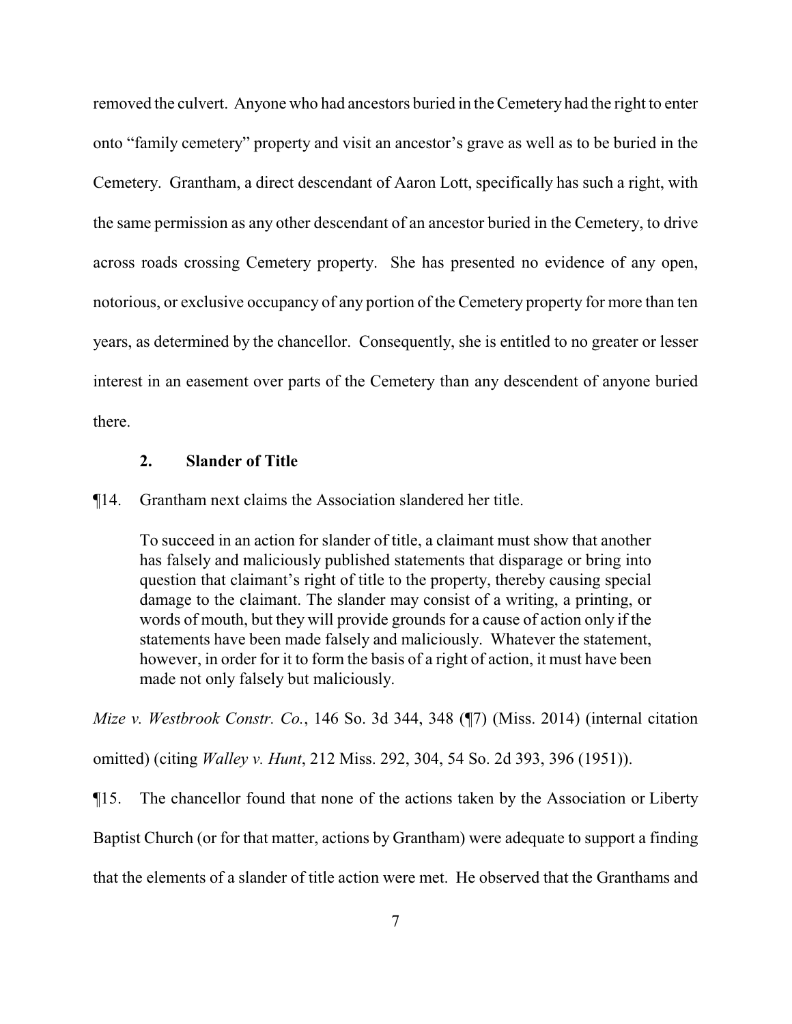removed the culvert. Anyone who had ancestors buried in the Cemetery had the right to enter onto "family cemetery" property and visit an ancestor's grave as well as to be buried in the Cemetery. Grantham, a direct descendant of Aaron Lott, specifically has such a right, with the same permission as any other descendant of an ancestor buried in the Cemetery, to drive across roads crossing Cemetery property. She has presented no evidence of any open, notorious, or exclusive occupancy of any portion of the Cemetery property for more than ten years, as determined by the chancellor. Consequently, she is entitled to no greater or lesser interest in an easement over parts of the Cemetery than any descendent of anyone buried there.

## **2. Slander of Title**

### ¶14. Grantham next claims the Association slandered her title.

To succeed in an action for slander of title, a claimant must show that another has falsely and maliciously published statements that disparage or bring into question that claimant's right of title to the property, thereby causing special damage to the claimant. The slander may consist of a writing, a printing, or words of mouth, but they will provide grounds for a cause of action only if the statements have been made falsely and maliciously. Whatever the statement, however, in order for it to form the basis of a right of action, it must have been made not only falsely but maliciously.

*Mize v. Westbrook Constr. Co.*, 146 So. 3d 344, 348 (¶7) (Miss. 2014) (internal citation omitted) (citing *Walley v. Hunt*, 212 Miss. 292, 304, 54 So. 2d 393, 396 (1951)).

¶15. The chancellor found that none of the actions taken by the Association or Liberty

Baptist Church (or for that matter, actions by Grantham) were adequate to support a finding

that the elements of a slander of title action were met. He observed that the Granthams and